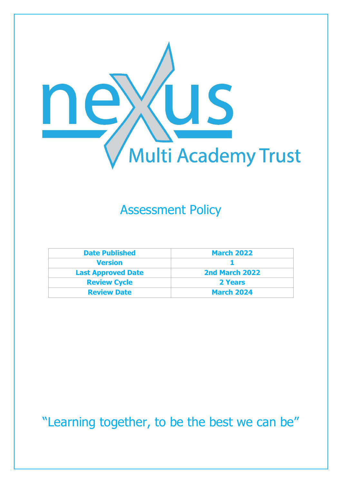

### Assessment Policy

| <b>Date Published</b>     | <b>March 2022</b> |
|---------------------------|-------------------|
| <b>Version</b>            |                   |
| <b>Last Approved Date</b> | 2nd March 2022    |
| <b>Review Cycle</b>       | 2 Years           |
| <b>Review Date</b>        | <b>March 2024</b> |

"Learning together, to be the best we can be"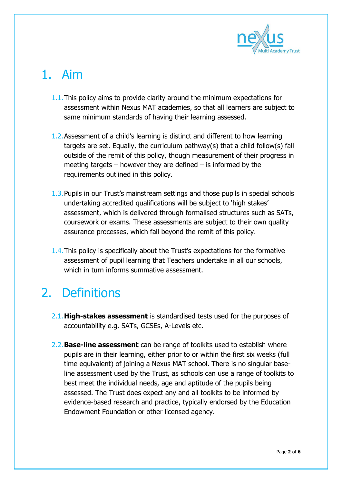

## 1. Aim

- 1.1.This policy aims to provide clarity around the minimum expectations for assessment within Nexus MAT academies, so that all learners are subject to same minimum standards of having their learning assessed.
- 1.2.Assessment of a child's learning is distinct and different to how learning targets are set. Equally, the curriculum pathway(s) that a child follow(s) fall outside of the remit of this policy, though measurement of their progress in meeting targets – however they are defined – is informed by the requirements outlined in this policy.
- 1.3.Pupils in our Trust's mainstream settings and those pupils in special schools undertaking accredited qualifications will be subject to 'high stakes' assessment, which is delivered through formalised structures such as SATs, coursework or exams. These assessments are subject to their own quality assurance processes, which fall beyond the remit of this policy.
- 1.4.This policy is specifically about the Trust's expectations for the formative assessment of pupil learning that Teachers undertake in all our schools, which in turn informs summative assessment.

### 2. Definitions

- 2.1.**High-stakes assessment** is standardised tests used for the purposes of accountability e.g. SATs, GCSEs, A-Levels etc.
- 2.2.**Base-line assessment** can be range of toolkits used to establish where pupils are in their learning, either prior to or within the first six weeks (full time equivalent) of joining a Nexus MAT school. There is no singular baseline assessment used by the Trust, as schools can use a range of toolkits to best meet the individual needs, age and aptitude of the pupils being assessed. The Trust does expect any and all toolkits to be informed by evidence-based research and practice, typically endorsed by the Education Endowment Foundation or other licensed agency.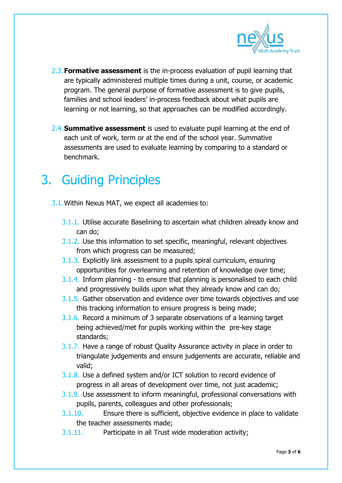

- 2.3.**Formative assessment** is the in-process evaluation of pupil learning that are typically administered multiple times during a unit, course, or academic program. The general purpose of formative assessment is to give pupils, families and school leaders' in-process feedback about what pupils are learning or not learning, so that approaches can be modified accordingly.
- 2.4.**Summative assessment** is used to evaluate pupil learning at the end of each unit of work, term or at the end of the school year. Summative assessments are used to evaluate learning by comparing to a standard or benchmark.

### 3. Guiding Principles

- 3.1.Within Nexus MAT, we expect all academies to:
	- 3.1.1. Utilise accurate Baselining to ascertain what children already know and can do;
	- 3.1.2. Use this information to set specific, meaningful, relevant objectives from which progress can be measured;
	- 3.1.3. Explicitly link assessment to a pupils spiral curriculum, ensuring opportunities for overlearning and retention of knowledge over time;
	- 3.1.4. Inform planning to ensure that planning is personalised to each child and progressively builds upon what they already know and can do;
	- 3.1.5. Gather observation and evidence over time towards objectives and use this tracking information to ensure progress is being made;
	- 3.1.6. Record a minimum of 3 separate observations of a learning target being achieved/met for pupils working within the pre-key stage standards;
	- 3.1.7. Have a range of robust Quality Assurance activity in place in order to triangulate judgements and ensure judgements are accurate, reliable and valid;
	- 3.1.8. Use a defined system and/or ICT solution to record evidence of progress in all areas of development over time, not just academic;
	- 3.1.9. Use assessment to inform meaningful, professional conversations with pupils, parents, colleagues and other professionals;
	- 3.1.10. Ensure there is sufficient, objective evidence in place to validate the teacher assessments made;
	- 3.1.11. Participate in all Trust wide moderation activity;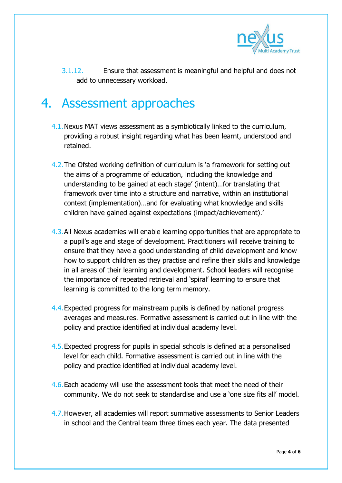

3.1.12. Ensure that assessment is meaningful and helpful and does not add to unnecessary workload.

#### 4. Assessment approaches

- 4.1.Nexus MAT views assessment as a symbiotically linked to the curriculum, providing a robust insight regarding what has been learnt, understood and retained.
- 4.2.The Ofsted working definition of curriculum is 'a framework for setting out the aims of a programme of education, including the knowledge and understanding to be gained at each stage' (intent)…for translating that framework over time into a structure and narrative, within an institutional context (implementation)…and for evaluating what knowledge and skills children have gained against expectations (impact/achievement).'
- 4.3.All Nexus academies will enable learning opportunities that are appropriate to a pupil's age and stage of development. Practitioners will receive training to ensure that they have a good understanding of child development and know how to support children as they practise and refine their skills and knowledge in all areas of their learning and development. School leaders will recognise the importance of repeated retrieval and 'spiral' learning to ensure that learning is committed to the long term memory.
- 4.4.Expected progress for mainstream pupils is defined by national progress averages and measures. Formative assessment is carried out in line with the policy and practice identified at individual academy level.
- 4.5.Expected progress for pupils in special schools is defined at a personalised level for each child. Formative assessment is carried out in line with the policy and practice identified at individual academy level.
- 4.6. Each academy will use the assessment tools that meet the need of their community. We do not seek to standardise and use a 'one size fits all' model.
- 4.7.However, all academies will report summative assessments to Senior Leaders in school and the Central team three times each year. The data presented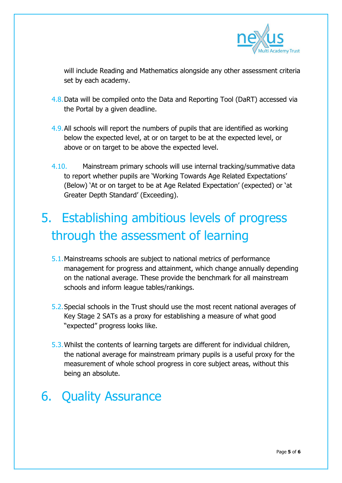

will include Reading and Mathematics alongside any other assessment criteria set by each academy.

- 4.8.Data will be compiled onto the Data and Reporting Tool (DaRT) accessed via the Portal by a given deadline.
- 4.9.All schools will report the numbers of pupils that are identified as working below the expected level, at or on target to be at the expected level, or above or on target to be above the expected level.
- 4.10. Mainstream primary schools will use internal tracking/summative data to report whether pupils are 'Working Towards Age Related Expectations' (Below) 'At or on target to be at Age Related Expectation' (expected) or 'at Greater Depth Standard' (Exceeding).

# 5. Establishing ambitious levels of progress through the assessment of learning

- 5.1.Mainstreams schools are subject to national metrics of performance management for progress and attainment, which change annually depending on the national average. These provide the benchmark for all mainstream schools and inform league tables/rankings.
- 5.2.Special schools in the Trust should use the most recent national averages of Key Stage 2 SATs as a proxy for establishing a measure of what good "expected" progress looks like.
- 5.3.Whilst the contents of learning targets are different for individual children, the national average for mainstream primary pupils is a useful proxy for the measurement of whole school progress in core subject areas, without this being an absolute.

## 6. Quality Assurance